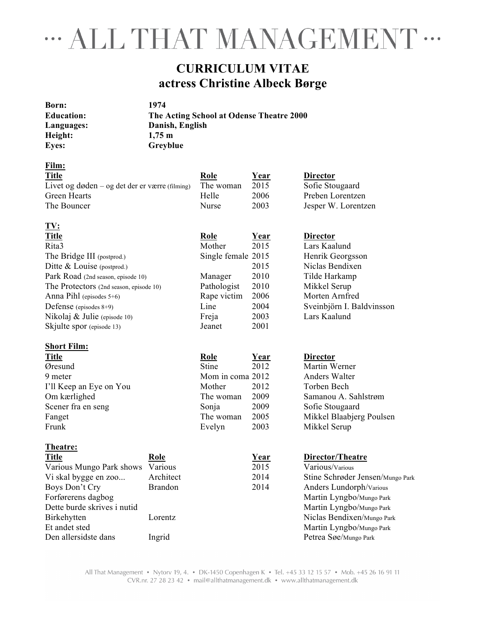## " ALL THAT MANAGEMENT "

#### **CURRICULUM VITAE actress Christine Albeck Børge**

| Born:             | 1974                                     |
|-------------------|------------------------------------------|
| <b>Education:</b> | The Acting School at Odense Theatre 2000 |
| Languages:        | Danish, English                          |
| Height:           | $1.75 \text{ m}$                         |
| <b>Eyes:</b>      | Greyblue                                 |

**TV:** 

| Film:                                          |           |             |                     |
|------------------------------------------------|-----------|-------------|---------------------|
| <b>Title</b>                                   | Role      | <u>Year</u> | <b>Director</b>     |
| Livet og døden – og det der er værre (filming) | The woman | 2015        | Sofie Stougaard     |
| Green Hearts                                   | Helle     | 2006        | Preben Lorentzen    |
| The Bouncer                                    | Nurse     | 2003        | Jesper W. Lorentzen |

| 1V:                                     |                    |             |                           |
|-----------------------------------------|--------------------|-------------|---------------------------|
| <b>Title</b>                            | Role               | Year        | <b>Director</b>           |
| Rita3                                   | Mother             | 2015        | Lars Kaalund              |
| The Bridge III (postprod.)              | Single female 2015 |             | Henrik Georgsson          |
| Ditte $& Louis$ e (postprod.)           |                    | 2015        | Niclas Bendixen           |
| Park Road (2nd season, episode 10)      | Manager            | 2010        | Tilde Harkamp             |
| The Protectors (2nd season, episode 10) | Pathologist        | 2010        | Mikkel Serup              |
| Anna Pihl (episodes $5+6$ )             | Rape victim        | 2006        | Morten Arnfred            |
| Defense (episodes $8+9$ )               | Line               | 2004        | Sveinbjörn I. Baldvinsson |
| Nikolaj $\&$ Julie (episode 10)         | Freja              | 2003        | Lars Kaalund              |
| Skjulte spor (episode 13)               | Jeanet             | 2001        |                           |
| <b>Short Film:</b>                      |                    |             |                           |
| <b>Title</b>                            | <b>Role</b>        | <u>Year</u> | <b>Director</b>           |
| Øresund                                 | <b>Stine</b>       | 2012        | Martin Werner             |
| 9 meter                                 | Mom in coma 2012   |             | Anders Walter             |
| I'll Keep an Eye on You                 | Mother             | 2012        | Torben Bech               |
| Om kærlighed                            | The woman          | 2009        | Samanou A. Sahlstrøm      |
| Scener fra en seng                      | Sonja              | 2009        | Sofie Stougaard           |
| Fanget                                  | The woman          | 2005        | Mikkel Blaabjerg Poulsen  |
| Frunk                                   | Evelyn             | 2003        | Mikkel Serup              |
| Theatre:                                |                    |             |                           |
| <b>Title</b><br>Role                    |                    | Year        | Director/Theatre          |
| Various Mungo Park shows<br>Various     |                    | 2015        | Various/Various           |

Vi skal bygge en zoo... Architect 2014 Stine Schrøder Jensen/Mungo Park Boys Don't Cry Brandon 2014 Anders Lundorph/Various Forførerens dagbog Martin Lyngbo/Mungo Park<br>Dette burde skrives i nutid Martin Lyngbo/Mungo Park<br>Martin Lyngbo/Mungo Park Martin Lyngbo/Mungo Park Birkehytten Lorentz Lorentz Niclas Bendixen/Mungo Park Et andet sted Martin Lyngbo/Mungo Park Den allersidste dans Ingrid Petrea Søe/Mungo Park